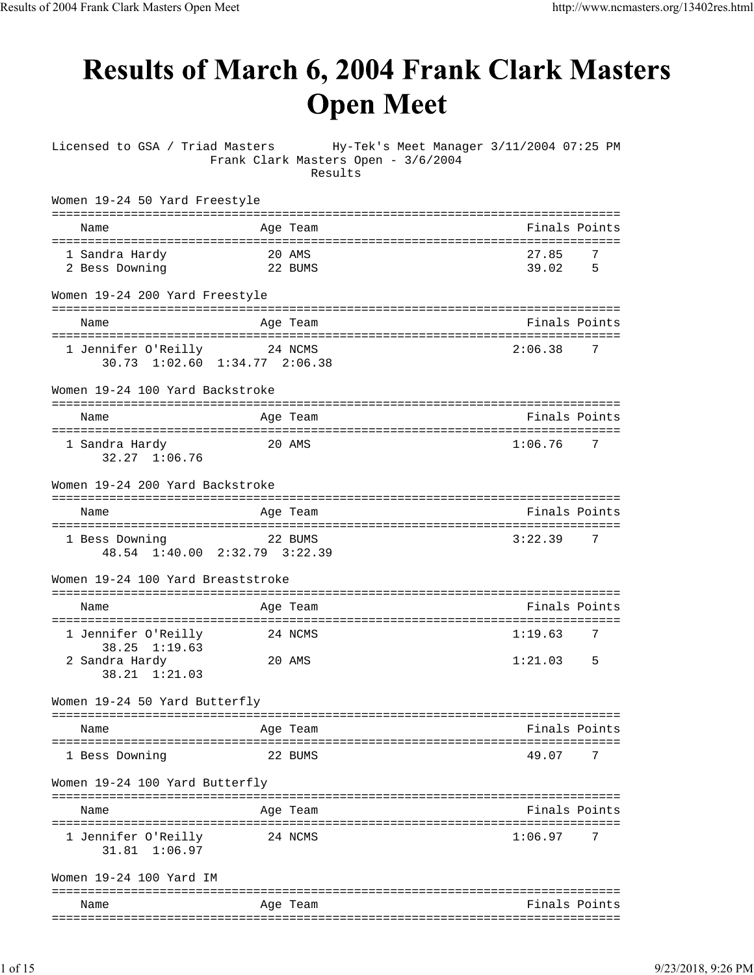## **Results of March 6, 2004 Frank Clark Masters Open Meet**

Licensed to GSA / Triad Masters Hy-Tek's Meet Manager 3/11/2004 07:25 PM Frank Clark Masters Open - 3/6/2004 Results

| Women 19-24 50 Yard Freestyle                        |                   |                                                      |
|------------------------------------------------------|-------------------|------------------------------------------------------|
| Name                                                 | Age Team          | Finals Points                                        |
| 1 Sandra Hardy<br>2 Bess Downing                     | 20 AMS<br>22 BUMS | 27.85<br>7<br>39.02<br>5                             |
| Women 19-24 200 Yard Freestyle                       |                   |                                                      |
| Name                                                 | Age Team          | Finals Points                                        |
| 1 Jennifer O'Reilly<br>30.73 1:02.60 1:34.77 2:06.38 | 24 NCMS           | 2:06.38<br>7                                         |
| Women 19-24 100 Yard Backstroke                      |                   |                                                      |
| Name                                                 | Age Team          | =================================<br>Finals Points   |
| 1 Sandra Hardy<br>32.27 1:06.76                      | 20 AMS            | ====================================<br>1:06.76<br>7 |
| Women 19-24 200 Yard Backstroke                      |                   |                                                      |
| Name                                                 | Age Team          | Finals Points                                        |
| 1 Bess Downing<br>48.54 1:40.00 2:32.79 3:22.39      | 22 BUMS           | 3:22.39<br>7                                         |
| Women 19-24 100 Yard Breaststroke                    |                   |                                                      |
| Name                                                 | Age Team          | Finals Points                                        |
| 1 Jennifer O'Reilly<br>38.25 1:19.63                 | 24 NCMS           | 1:19.63<br>7                                         |
| 2 Sandra Hardy<br>38.21 1:21.03                      | 20 AMS            | 1:21.03<br>5                                         |
| Women 19-24 50 Yard Butterfly                        |                   |                                                      |
| Name                                                 | Age Team          | Finals Points                                        |
| 1 Bess Downing                                       | 22 BUMS           | 49.07<br>7                                           |
| Women 19-24 100 Yard Butterfly                       |                   |                                                      |
| Name                                                 | Aqe Team          | ----------------------------<br>Finals Points        |
| 1 Jennifer O'Reilly<br>31.81 1:06.97                 | 24 NCMS           | 1:06.97<br>7                                         |
| Women 19-24 100 Yard IM                              |                   |                                                      |
| Name                                                 | Age Team          | Finals Points                                        |
|                                                      |                   |                                                      |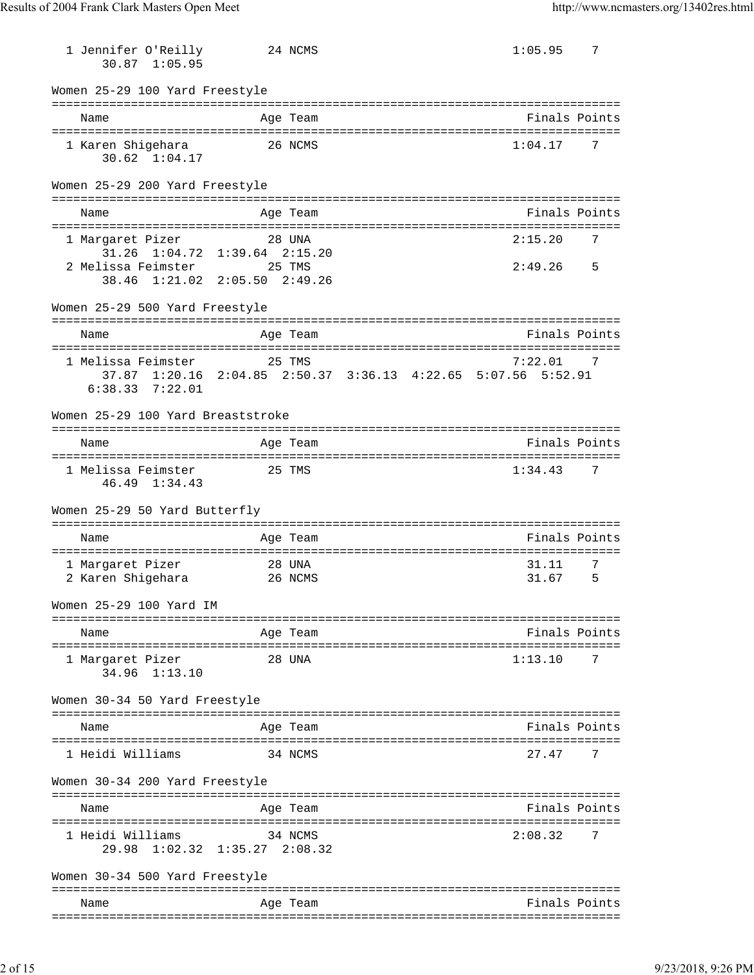| 1 Jennifer O'Reilly<br>30.87 1:05.95                       | 24 NCMS                                                                 | 1:05.95        | 7      |
|------------------------------------------------------------|-------------------------------------------------------------------------|----------------|--------|
| Women 25-29 100 Yard Freestyle                             |                                                                         |                |        |
| Name                                                       | Age Team                                                                | Finals Points  |        |
| 1 Karen Shigehara<br>$30.62 \quad 1:04.17$                 | 26 NCMS                                                                 | 1:04.17        | 7      |
| Women 25-29 200 Yard Freestyle                             |                                                                         |                |        |
| Name                                                       | Age Team                                                                | Finals Points  |        |
| 1 Margaret Pizer<br>$31.26$ $1:04.72$                      | 28 UNA<br>$1:39.64$ $2:15.20$                                           | 2:15.20        | 7      |
| 2 Melissa Feimster 25 TMS<br>38.46 1:21.02 2:05.50 2:49.26 |                                                                         | 2:49.26        | 5      |
| Women 25-29 500 Yard Freestyle                             |                                                                         |                |        |
| Name                                                       | Age Team                                                                | Finals Points  |        |
| 1 Melissa Feimster<br>$6:38.33$ $7:22.01$                  | 25 TMS<br>37.87 1:20.16 2:04.85 2:50.37 3:36.13 4:22.65 5:07.56 5:52.91 | 7:22.01        |        |
| Women 25-29 100 Yard Breaststroke                          |                                                                         |                |        |
| Name                                                       | Age Team                                                                | Finals Points  |        |
| 1 Melissa Feimster<br>46.49 1:34.43                        | 25 TMS                                                                  | 1:34.43        | 7      |
| Women 25-29 50 Yard Butterfly                              |                                                                         |                |        |
| Name                                                       | Age Team                                                                | Finals Points  |        |
| 1 Margaret Pizer<br>2 Karen Shigehara                      | 28 UNA<br>26 NCMS                                                       | 31.11<br>31.67 | 7<br>5 |
| Women 25-29 100 Yard IM                                    |                                                                         |                |        |
| Name                                                       | Age Team                                                                | Finals Points  |        |
| 1 Margaret Pizer<br>34.96 1:13.10                          | 28 UNA                                                                  | 1:13.10        | 7      |
| Women 30-34 50 Yard Freestyle                              |                                                                         |                |        |
| Name                                                       | Age Team                                                                | Finals Points  |        |
| 1 Heidi Williams                                           | 34 NCMS                                                                 | 27.47          | 7      |
| Women 30-34 200 Yard Freestyle                             |                                                                         |                |        |
| Name                                                       | Age Team                                                                | Finals Points  |        |
| 1 Heidi Williams<br>29.98 1:02.32 1:35.27 2:08.32          | 34 NCMS                                                                 | 2:08.32        | 7      |
| Women 30-34 500 Yard Freestyle                             |                                                                         |                |        |
| Name                                                       | Age Team                                                                | Finals Points  |        |
|                                                            |                                                                         |                |        |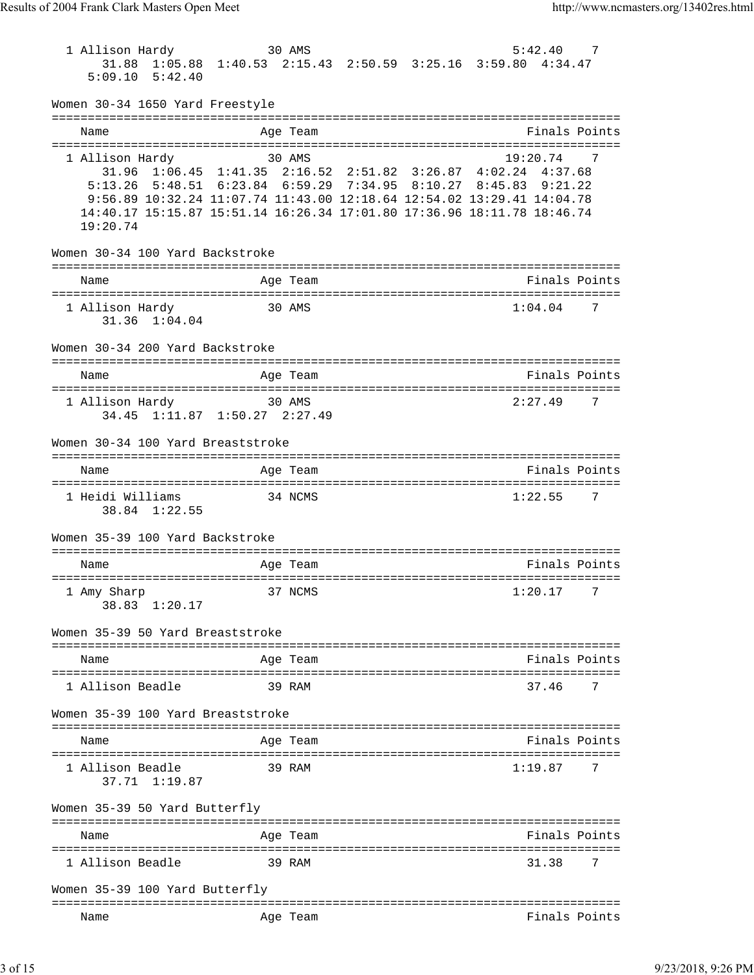| 1 Allison Hardy                                                                                                                                   | 30 AMS                      |                                                 | 5:42.40           | 7              |
|---------------------------------------------------------------------------------------------------------------------------------------------------|-----------------------------|-------------------------------------------------|-------------------|----------------|
| 31.88 1:05.88 1:40.53 2:15.43 2:50.59 3:25.16 3:59.80 4:34.47<br>$5:09.10$ $5:42.40$                                                              |                             |                                                 |                   |                |
| Women 30-34 1650 Yard Freestyle                                                                                                                   |                             |                                                 |                   |                |
|                                                                                                                                                   |                             |                                                 |                   |                |
| Name                                                                                                                                              | Age Team                    |                                                 |                   | Finals Points  |
| 1 Allison Hardy                                                                                                                                   | 30 AMS                      |                                                 | 19:20.74          | 7              |
| 31.96 1:06.45 1:41.35 2:16.52 2:51.82 3:26.87 4:02.24 4:37.68                                                                                     |                             |                                                 |                   |                |
| 5:13.26                                                                                                                                           |                             | 5:48.51 6:23.84 6:59.29 7:34.95 8:10.27 8:45.83 | 9:21.22           |                |
| 9:56.89 10:32.24 11:07.74 11:43.00 12:18.64 12:54.02 13:29.41 14:04.78<br>14:40.17 15:15.87 15:51.14 16:26.34 17:01.80 17:36.96 18:11.78 18:46.74 |                             |                                                 |                   |                |
| 19:20.74                                                                                                                                          |                             |                                                 |                   |                |
| Women 30-34 100 Yard Backstroke                                                                                                                   |                             |                                                 |                   |                |
|                                                                                                                                                   |                             |                                                 |                   |                |
| Name                                                                                                                                              | Age Team                    |                                                 |                   | Finals Points  |
| 1 Allison Hardy                                                                                                                                   | 30 AMS                      |                                                 | 1:04.04           | $\overline{7}$ |
| 31.36 1:04.04                                                                                                                                     |                             |                                                 |                   |                |
| Women 30-34 200 Yard Backstroke                                                                                                                   |                             |                                                 |                   |                |
| Name                                                                                                                                              | Age Team                    |                                                 |                   | Finals Points  |
| 1 Allison Hardy                                                                                                                                   | 30 AMS                      |                                                 | 2:27.49           | 7              |
| 34.45 1:11.87 1:50.27 2:27.49                                                                                                                     |                             |                                                 |                   |                |
| Women 30-34 100 Yard Breaststroke                                                                                                                 |                             |                                                 |                   |                |
|                                                                                                                                                   |                             |                                                 |                   |                |
| Name                                                                                                                                              | Age Team                    |                                                 |                   | Finals Points  |
| 1 Heidi Williams<br>38.84 1:22.55                                                                                                                 | 34 NCMS                     |                                                 | 1:22.55           | 7              |
| Women 35-39 100 Yard Backstroke                                                                                                                   |                             |                                                 |                   |                |
| Name                                                                                                                                              | Age Team                    |                                                 |                   | Finals Points  |
|                                                                                                                                                   |                             |                                                 |                   |                |
| 1 Amy Sharp<br>38.83 1:20.17                                                                                                                      | 37 NCMS                     |                                                 | 1:20.17           | 7              |
| Women 35-39 50 Yard Breaststroke                                                                                                                  |                             |                                                 |                   |                |
| Name                                                                                                                                              | Age Team                    |                                                 |                   | Finals Points  |
|                                                                                                                                                   |                             |                                                 |                   |                |
| 1 Allison Beadle                                                                                                                                  | 39 RAM                      |                                                 | 37.46             |                |
| Women 35-39 100 Yard Breaststroke                                                                                                                 |                             |                                                 |                   |                |
| Name                                                                                                                                              | Age Team                    |                                                 |                   | Finals Points  |
| 1 Allison Beadle                                                                                                                                  | 39 RAM                      |                                                 | 1:19.87           |                |
| 37.71 1:19.87                                                                                                                                     |                             |                                                 |                   |                |
| Women 35-39 50 Yard Butterfly                                                                                                                     |                             | ============                                    |                   |                |
| Name                                                                                                                                              | Age Team<br>--------------- |                                                 | ----------------- | Finals Points  |
| 1 Allison Beadle                                                                                                                                  | 39 RAM                      |                                                 | 31.38             | 7              |
| Women 35-39 100 Yard Butterfly                                                                                                                    |                             |                                                 |                   |                |
| Name                                                                                                                                              | Age Team                    |                                                 |                   | Finals Points  |
|                                                                                                                                                   |                             |                                                 |                   |                |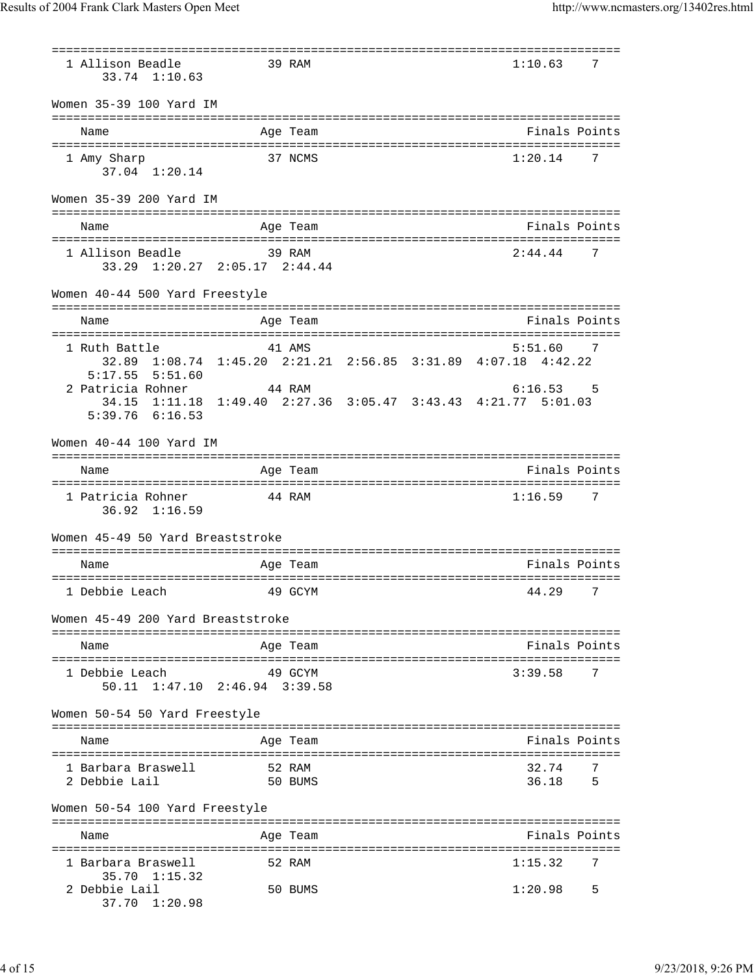=============================================================================== 1 Allison Beadle 39 RAM 1:10.63 7 33.74 1:10.63 Women 35-39 100 Yard IM =============================================================================== Name Age Team Finals Points =============================================================================== 1 Amy Sharp 37 NCMS 1:20.14 7 37.04 1:20.14 Women 35-39 200 Yard IM =============================================================================== Name **Age Team Age Team** Rinals Points =============================================================================== 1 Allison Beadle 39 RAM 2:44.44 7 33.29 1:20.27 2:05.17 2:44.44 Women 40-44 500 Yard Freestyle =============================================================================== Name **Age Team Age Team** Rinals Points =============================================================================== 1 Ruth Battle 41 AMS 5:51.60 7 32.89 1:08.74 1:45.20 2:21.21 2:56.85 3:31.89 4:07.18 4:42.22 5:17.55 5:51.60 2 Patricia Rohner 44 RAM 6:16.53 5 34.15 1:11.18 1:49.40 2:27.36 3:05.47 3:43.43 4:21.77 5:01.03 5:39.76 6:16.53 Women 40-44 100 Yard IM =============================================================================== Name Age Team Finals Points =============================================================================== 1 Patricia Rohner 44 RAM 1:16.59 7 36.92 1:16.59 Women 45-49 50 Yard Breaststroke =============================================================================== Name Age Team Age Team Finals Points =============================================================================== 1 Debbie Leach 49 GCYM 44.29 7 Women 45-49 200 Yard Breaststroke =============================================================================== Name **Age Team Age Team** Rinals Points =============================================================================== 1 Debbie Leach 49 GCYM 3:39.58 7 50.11 1:47.10 2:46.94 3:39.58 Women 50-54 50 Yard Freestyle =============================================================================== Name Age Team Finals Points =============================================================================== 1 Barbara Braswell 52 RAM 32.74 7 2 Debbie Lail 50 BUMS 36.18 5 Women 50-54 100 Yard Freestyle =============================================================================== Name **Age Team Age Team** Rinals Points =============================================================================== 1 Barbara Braswell 35.70 1:15.32 2 Debbie Lail 50 BUMS 1:20.98 5 37.70 1:20.98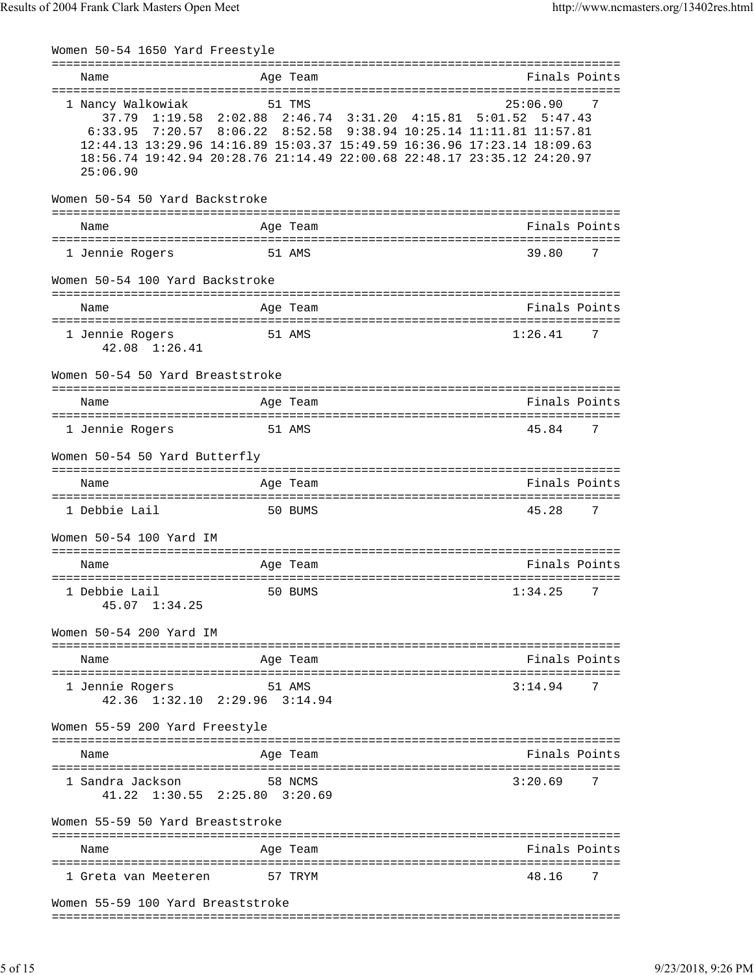| Women 50-54 1650 Yard Freestyle                           |                                                                                                                                                                                                                                                                               |                                        |               |   |
|-----------------------------------------------------------|-------------------------------------------------------------------------------------------------------------------------------------------------------------------------------------------------------------------------------------------------------------------------------|----------------------------------------|---------------|---|
| Name<br>======================                            | Age Team<br>===============                                                                                                                                                                                                                                                   |                                        | Finals Points |   |
| 1 Nancy Walkowiak<br>37.79 1:19.58<br>6:33.95<br>25:06.90 | 51 TMS<br>2:02.88 2:46.74 3:31.20 4:15.81 5:01.52 5:47.43<br>7:20.57 8:06.22 8:52.58 9:38.94 10:25.14 11:11.81 11:57.81<br>12:44.13 13:29.96 14:16.89 15:03.37 15:49.59 16:36.96 17:23.14 18:09.63<br>18:56.74 19:42.94 20:28.76 21:14.49 22:00.68 22:48.17 23:35.12 24:20.97 |                                        | 25:06.90      | 7 |
| Women 50-54 50 Yard Backstroke                            | :============================                                                                                                                                                                                                                                                 |                                        |               |   |
| Name                                                      | Age Team                                                                                                                                                                                                                                                                      |                                        | Finals Points |   |
| 1 Jennie Rogers                                           | 51 AMS                                                                                                                                                                                                                                                                        |                                        | 39.80         | 7 |
| Women 50-54 100 Yard Backstroke                           |                                                                                                                                                                                                                                                                               |                                        |               |   |
| Name                                                      | Age Team                                                                                                                                                                                                                                                                      |                                        | Finals Points |   |
| 1 Jennie Rogers<br>42.08 1:26.41                          | 51 AMS                                                                                                                                                                                                                                                                        |                                        | 1:26.41       | 7 |
| Women 50-54 50 Yard Breaststroke                          |                                                                                                                                                                                                                                                                               |                                        |               |   |
| Name<br>====================================              | Age Team                                                                                                                                                                                                                                                                      |                                        | Finals Points |   |
| 1 Jennie Rogers                                           | 51 AMS                                                                                                                                                                                                                                                                        |                                        | 45.84         | 7 |
| Women 50-54 50 Yard Butterfly                             |                                                                                                                                                                                                                                                                               |                                        |               |   |
| Name                                                      | Age Team                                                                                                                                                                                                                                                                      |                                        | Finals Points |   |
| 1 Debbie Lail                                             | 50 BUMS                                                                                                                                                                                                                                                                       |                                        | 45.28         | 7 |
| Women 50-54 100 Yard IM<br>---------------------          |                                                                                                                                                                                                                                                                               | ====================================== |               |   |
| Name                                                      | Age Team                                                                                                                                                                                                                                                                      |                                        | Finals Points |   |
| 1 Debbie Lail<br>45.07 1:34.25                            | 50 BUMS                                                                                                                                                                                                                                                                       |                                        | 1:34.25       | 7 |
| Women 50-54 200 Yard IM                                   |                                                                                                                                                                                                                                                                               |                                        |               |   |
| Name                                                      | Age Team                                                                                                                                                                                                                                                                      |                                        | Finals Points |   |
| 1 Jennie Rogers                                           | 51 AMS<br>42.36 1:32.10 2:29.96 3:14.94                                                                                                                                                                                                                                       |                                        | 3:14.94       | 7 |
| Women 55-59 200 Yard Freestyle                            |                                                                                                                                                                                                                                                                               |                                        |               |   |
| Name                                                      | Age Team                                                                                                                                                                                                                                                                      |                                        | Finals Points |   |
| 1 Sandra Jackson                                          | 58 NCMS<br>41.22 1:30.55 2:25.80 3:20.69                                                                                                                                                                                                                                      |                                        | 3:20.69       | 7 |
| Women 55-59 50 Yard Breaststroke                          |                                                                                                                                                                                                                                                                               |                                        |               |   |
| Name                                                      | Age Team                                                                                                                                                                                                                                                                      |                                        | Finals Points |   |
| 1 Greta van Meeteren                                      | 57 TRYM                                                                                                                                                                                                                                                                       |                                        | 48.16         | 7 |
| EQ 100 Vard Broaststroks                                  |                                                                                                                                                                                                                                                                               |                                        |               |   |

Women 55-59 100 Yard Breaststroke ===============================================================================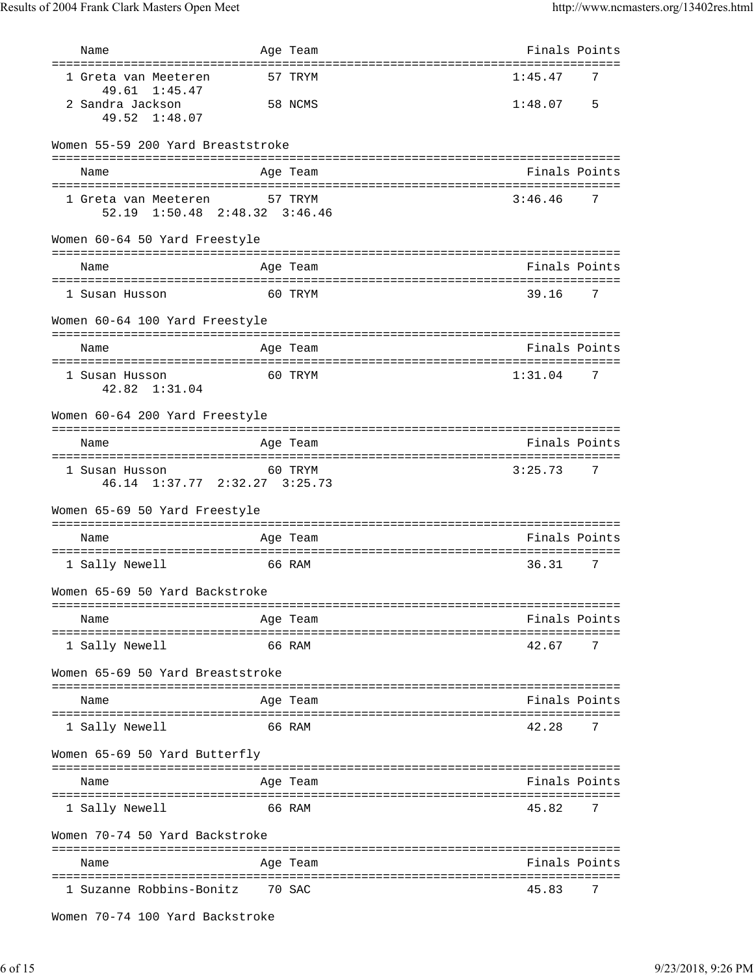| Name                                                                      | Age Team |         | Finals Points                               |    |
|---------------------------------------------------------------------------|----------|---------|---------------------------------------------|----|
| ================================<br>1 Greta van Meeteren<br>49.61 1:45.47 |          | 57 TRYM | :===============================<br>1:45.47 | 7  |
| 2 Sandra Jackson<br>49.52 1:48.07                                         |          | 58 NCMS | 1:48.07                                     | .5 |
| Women 55-59 200 Yard Breaststroke                                         |          |         |                                             |    |
| Name                                                                      | Age Team |         | Finals Points                               |    |
| 1 Greta van Meeteren<br>52.19 1:50.48 2:48.32 3:46.46                     | 57 TRYM  |         | 3:46.46                                     | 7  |
| Women 60-64 50 Yard Freestyle                                             |          |         |                                             |    |
| Name                                                                      | Age Team |         | Finals Points                               |    |
| 1 Susan Husson                                                            |          | 60 TRYM | 39.16                                       | 7  |
| Women 60-64 100 Yard Freestyle                                            |          |         |                                             |    |
| Name                                                                      | Age Team |         | Finals Points                               |    |
| 1 Susan Husson<br>42.82 1:31.04                                           |          | 60 TRYM | 1:31.04                                     | 7  |
| Women 60-64 200 Yard Freestyle                                            |          |         |                                             |    |
| Name                                                                      | Age Team |         | Finals Points                               |    |
| 1 Susan Husson<br>46.14 1:37.77 2:32.27 3:25.73                           |          | 60 TRYM | 3:25.73                                     | 7  |
| Women 65-69 50 Yard Freestyle                                             |          |         |                                             |    |
| Name                                                                      | Age Team |         | Finals Points                               |    |
| 1 Sally Newell                                                            | 66 RAM   |         | 36.31                                       | 7  |
| Women 65-69 50 Yard Backstroke                                            |          |         |                                             |    |
| Name                                                                      | Age Team |         | Finals Points                               |    |
| 1 Sally Newell                                                            | 66 RAM   |         | 42.67                                       | 7  |
| Women 65-69 50 Yard Breaststroke                                          |          |         |                                             |    |
| Name                                                                      | Age Team |         | Finals Points                               |    |
| 1 Sally Newell                                                            | 66 RAM   |         | 42.28                                       | 7  |
| Women 65-69 50 Yard Butterfly                                             |          |         |                                             |    |
| Name                                                                      | Age Team |         | Finals Points                               |    |
| 1 Sally Newell                                                            | 66 RAM   |         | 45.82                                       | 7  |
| Women 70-74 50 Yard Backstroke                                            |          |         |                                             |    |
| Name                                                                      | Age Team |         | Finals Points                               |    |
| 1 Suzanne Robbins-Bonitz                                                  | 70 SAC   |         | 45.83                                       | 7  |

```
Women 70-74 100 Yard Backstroke
```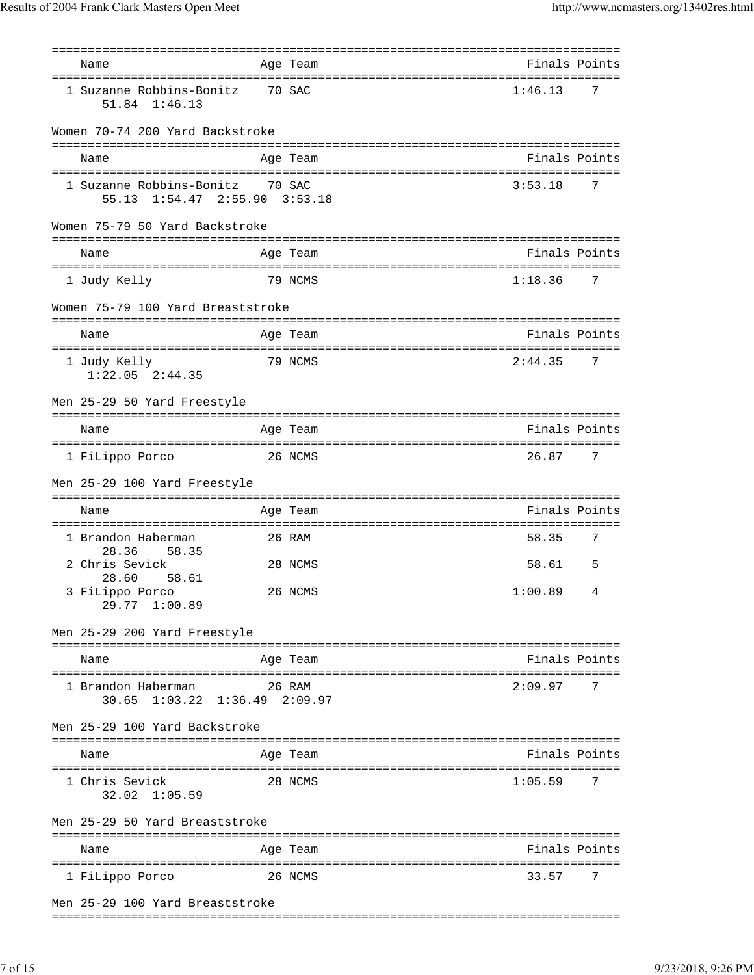|                                 | Finals Points                                                                                                                                                                                                                                                                                                                                             |                                                                               |
|---------------------------------|-----------------------------------------------------------------------------------------------------------------------------------------------------------------------------------------------------------------------------------------------------------------------------------------------------------------------------------------------------------|-------------------------------------------------------------------------------|
|                                 | 1:46.13                                                                                                                                                                                                                                                                                                                                                   | 7                                                                             |
| Women 70-74 200 Yard Backstroke |                                                                                                                                                                                                                                                                                                                                                           |                                                                               |
|                                 |                                                                                                                                                                                                                                                                                                                                                           |                                                                               |
|                                 |                                                                                                                                                                                                                                                                                                                                                           |                                                                               |
| 1 Suzanne Robbins-Bonitz        | 3:53.18                                                                                                                                                                                                                                                                                                                                                   | 7                                                                             |
| Women 75-79 50 Yard Backstroke  |                                                                                                                                                                                                                                                                                                                                                           |                                                                               |
|                                 | Finals Points                                                                                                                                                                                                                                                                                                                                             |                                                                               |
|                                 |                                                                                                                                                                                                                                                                                                                                                           |                                                                               |
|                                 | 1:18.36                                                                                                                                                                                                                                                                                                                                                   | 7                                                                             |
|                                 |                                                                                                                                                                                                                                                                                                                                                           |                                                                               |
|                                 | Finals Points                                                                                                                                                                                                                                                                                                                                             |                                                                               |
|                                 |                                                                                                                                                                                                                                                                                                                                                           | 7                                                                             |
|                                 |                                                                                                                                                                                                                                                                                                                                                           |                                                                               |
|                                 |                                                                                                                                                                                                                                                                                                                                                           |                                                                               |
|                                 | Finals Points                                                                                                                                                                                                                                                                                                                                             |                                                                               |
|                                 | 26.87                                                                                                                                                                                                                                                                                                                                                     | 7                                                                             |
| Men 25-29 100 Yard Freestyle    |                                                                                                                                                                                                                                                                                                                                                           |                                                                               |
|                                 | Finals Points                                                                                                                                                                                                                                                                                                                                             |                                                                               |
|                                 | 58.35                                                                                                                                                                                                                                                                                                                                                     | 7                                                                             |
|                                 | 58.61                                                                                                                                                                                                                                                                                                                                                     | 5                                                                             |
|                                 | 1:00.89                                                                                                                                                                                                                                                                                                                                                   | 4                                                                             |
| Men 25-29 200 Yard Freestyle    |                                                                                                                                                                                                                                                                                                                                                           |                                                                               |
|                                 | Finals Points                                                                                                                                                                                                                                                                                                                                             |                                                                               |
|                                 |                                                                                                                                                                                                                                                                                                                                                           | 7                                                                             |
|                                 |                                                                                                                                                                                                                                                                                                                                                           |                                                                               |
| Men 25-29 100 Yard Backstroke   |                                                                                                                                                                                                                                                                                                                                                           |                                                                               |
|                                 |                                                                                                                                                                                                                                                                                                                                                           |                                                                               |
|                                 | Finals Points                                                                                                                                                                                                                                                                                                                                             |                                                                               |
|                                 | 1:05.59                                                                                                                                                                                                                                                                                                                                                   | 7                                                                             |
| Men 25-29 50 Yard Breaststroke  |                                                                                                                                                                                                                                                                                                                                                           |                                                                               |
|                                 | Finals Points                                                                                                                                                                                                                                                                                                                                             |                                                                               |
|                                 | 33.57                                                                                                                                                                                                                                                                                                                                                     | 7                                                                             |
| Men 25-29 100 Yard Breaststroke |                                                                                                                                                                                                                                                                                                                                                           |                                                                               |
|                                 | =================<br>Age Team<br>70 SAC<br>Age Team<br>70 SAC<br>55.13 1:54.47 2:55.90 3:53.18<br>Age Team<br>79 NCMS<br>Women 75-79 100 Yard Breaststroke<br>Age Team<br>79 NCMS<br>Age Team<br>26 NCMS<br>Age Team<br>26 RAM<br>28 NCMS<br>26 NCMS<br>Age Team<br>26 RAM<br>30.65 1:03.22 1:36.49 2:09.97<br>Age Team<br>28 NCMS<br>Age Team<br>26 NCMS | ======================================<br>Finals Points<br>2:44.35<br>2:09.97 |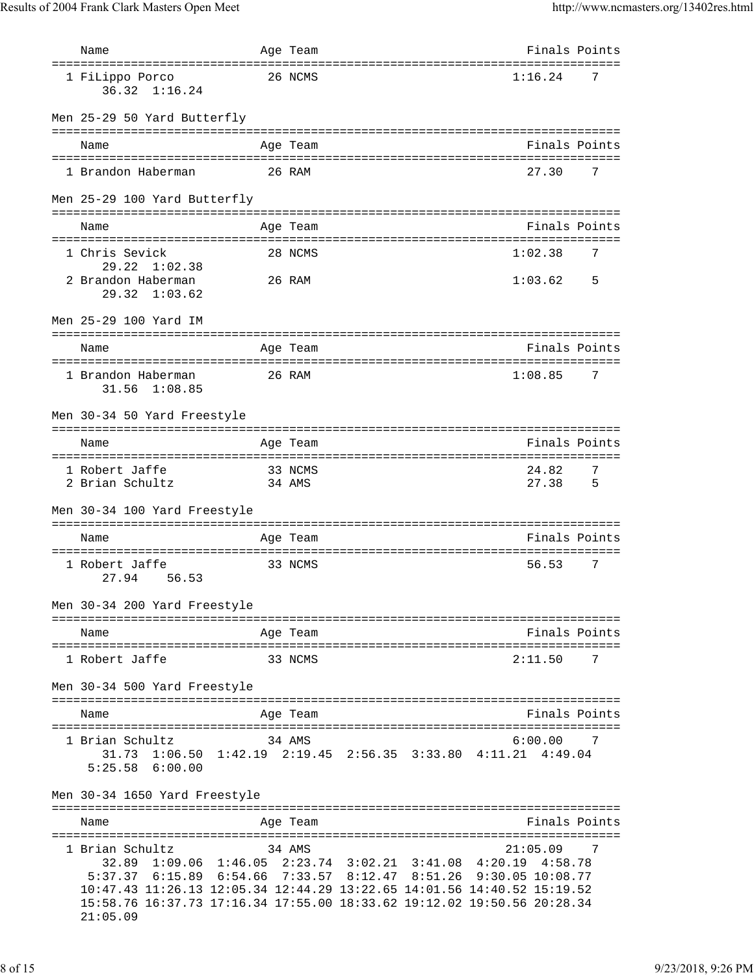| Name                                                                                                                                                                              | Age Team          |                                                                                                                                   | Finals Points                                      |
|-----------------------------------------------------------------------------------------------------------------------------------------------------------------------------------|-------------------|-----------------------------------------------------------------------------------------------------------------------------------|----------------------------------------------------|
| 1 FiLippo Porco<br>$36.32 \quad 1:16.24$                                                                                                                                          | 26 NCMS           |                                                                                                                                   | 1:16.24<br>7                                       |
| Men 25-29 50 Yard Butterfly                                                                                                                                                       |                   |                                                                                                                                   |                                                    |
| Name                                                                                                                                                                              | Age Team          |                                                                                                                                   | Finals Points                                      |
| 1 Brandon Haberman                                                                                                                                                                | 26 RAM            |                                                                                                                                   | 27.30<br>7                                         |
| Men 25-29 100 Yard Butterfly                                                                                                                                                      |                   |                                                                                                                                   |                                                    |
| Name                                                                                                                                                                              | Age Team          |                                                                                                                                   | =================================<br>Finals Points |
| 1 Chris Sevick                                                                                                                                                                    | 28 NCMS           |                                                                                                                                   | 1:02.38<br>7                                       |
| $29.22 \quad 1:02.38$<br>2 Brandon Haberman<br>$29.32 \quad 1:03.62$                                                                                                              | 26 RAM            |                                                                                                                                   | 1:03.62<br>5                                       |
| Men 25-29 100 Yard IM                                                                                                                                                             |                   |                                                                                                                                   |                                                    |
| Name                                                                                                                                                                              | Age Team          |                                                                                                                                   | Finals Points                                      |
| 1 Brandon Haberman<br>31.56 1:08.85                                                                                                                                               | 26 RAM            |                                                                                                                                   | 1:08.85<br>7                                       |
| Men 30-34 50 Yard Freestyle                                                                                                                                                       |                   |                                                                                                                                   |                                                    |
| Name                                                                                                                                                                              | Age Team          |                                                                                                                                   | Finals Points                                      |
| 1 Robert Jaffe<br>2 Brian Schultz                                                                                                                                                 | 33 NCMS<br>34 AMS |                                                                                                                                   | 24.82<br>7<br>27.38<br>5                           |
| Men 30-34 100 Yard Freestyle                                                                                                                                                      |                   |                                                                                                                                   |                                                    |
| Name                                                                                                                                                                              | Age Team          |                                                                                                                                   | Finals Points                                      |
| 1 Robert Jaffe<br>56.53<br>27.94                                                                                                                                                  | 33 NCMS           |                                                                                                                                   | 56.53<br>7                                         |
| Men 30-34 200 Yard Freestyle                                                                                                                                                      |                   |                                                                                                                                   | =====================================              |
| Name                                                                                                                                                                              | Age Team          |                                                                                                                                   | Finals Points                                      |
| 1 Robert Jaffe                                                                                                                                                                    | 33 NCMS           |                                                                                                                                   | 2:11.50<br>7                                       |
| Men 30-34 500 Yard Freestyle                                                                                                                                                      |                   |                                                                                                                                   |                                                    |
| Name                                                                                                                                                                              | Age Team          |                                                                                                                                   | Finals Points                                      |
| 1 Brian Schultz<br>$5:25.58$ $6:00.00$                                                                                                                                            | 34 AMS            | 31.73 1:06.50 1:42.19 2:19.45 2:56.35 3:33.80 4:11.21 4:49.04                                                                     | 6:00.00<br>$\overline{7}$                          |
| Men 30-34 1650 Yard Freestyle                                                                                                                                                     |                   |                                                                                                                                   |                                                    |
| Name                                                                                                                                                                              | Age Team          |                                                                                                                                   | Finals Points                                      |
| 1 Brian Schultz<br>10:47.43 11:26.13 12:05.34 12:44.29 13:22.65 14:01.56 14:40.52 15:19.52<br>15:58.76 16:37.73 17:16.34 17:55.00 18:33.62 19:12.02 19:50.56 20:28.34<br>21:05.09 | 34 AMS            | 32.89 1:09.06 1:46.05 2:23.74 3:02.21 3:41.08 4:20.19 4:58.78<br>5:37.37 6:15.89 6:54.66 7:33.57 8:12.47 8:51.26 9:30.05 10:08.77 | 21:05.09<br>7                                      |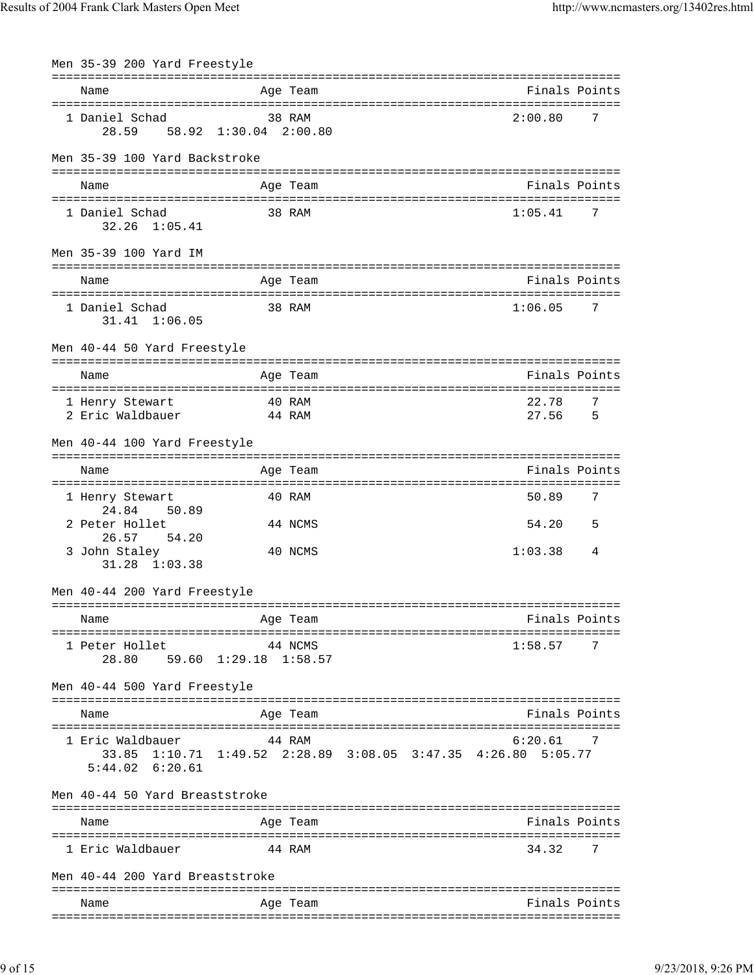| Men 35-39 200 Yard Freestyle            |                |                                                       |          |  |                    |                     |
|-----------------------------------------|----------------|-------------------------------------------------------|----------|--|--------------------|---------------------|
| Name                                    |                |                                                       | Age Team |  | Finals Points      |                     |
|                                         |                |                                                       |          |  |                    |                     |
| 1 Daniel Schad                          |                | 28.59 58.92 1:30.04 2:00.80                           | 38 RAM   |  | 2:00.80            | 7                   |
| Men 35-39 100 Yard Backstroke           |                |                                                       |          |  |                    |                     |
|                                         |                |                                                       |          |  |                    |                     |
| Name                                    |                |                                                       | Age Team |  | Finals Points      |                     |
| 1 Daniel Schad<br>$32.26$ $1:05.41$     |                |                                                       | 38 RAM   |  | 1:05.41            | 7                   |
| Men 35-39 100 Yard IM                   |                |                                                       |          |  |                    |                     |
| Name                                    |                |                                                       | Age Team |  | Finals Points      |                     |
| 1 Daniel Schad<br>$31.41$ $1:06.05$     |                |                                                       | 38 RAM   |  | 1:06.05            | 7                   |
| Men 40-44 50 Yard Freestyle             |                |                                                       |          |  |                    |                     |
| Name                                    |                |                                                       | Age Team |  | Finals Points      |                     |
|                                         |                |                                                       |          |  |                    |                     |
| 1 Henry Stewart<br>2 Eric Waldbauer     |                | 44 RAM                                                | 40 RAM   |  | 22.78<br>27.56     | 7<br>$\overline{5}$ |
| Men 40-44 100 Yard Freestyle            |                |                                                       |          |  |                    |                     |
| Name                                    |                |                                                       | Age Team |  | Finals Points      |                     |
| 1 Henry Stewart<br>24.84                |                |                                                       | 40 RAM   |  | 50.89              | 7                   |
| 2 Peter Hollet<br>26.57                 | 50.89<br>54.20 |                                                       | 44 NCMS  |  | 54.20              | 5                   |
| 3 John Staley<br>31.28 1:03.38          |                |                                                       | 40 NCMS  |  | 1:03.38            | 4                   |
| Men 40-44 200 Yard Freestyle            |                |                                                       |          |  |                    |                     |
|                                         |                |                                                       |          |  |                    |                     |
| Name                                    |                |                                                       | Age Team |  | Finals Points      |                     |
| 1 Peter Hollet<br>28.80                 |                | 59.60 1:29.18 1:58.57                                 | 44 NCMS  |  | 1:58.57            | 7                   |
| Men 40-44 500 Yard Freestyle            |                |                                                       |          |  |                    |                     |
| Name                                    |                |                                                       | Age Team |  | Finals Points      |                     |
|                                         |                |                                                       |          |  |                    |                     |
| 1 Eric Waldbauer<br>$5:44.02$ $6:20.61$ |                | 33.85 1:10.71 1:49.52 2:28.89 3:08.05 3:47.35 4:26.80 | 44 RAM   |  | 6:20.61<br>5:05.77 | 7                   |
| Men 40-44 50 Yard Breaststroke          |                |                                                       |          |  |                    |                     |
| Name                                    |                |                                                       | Age Team |  | Finals Points      |                     |
| 1 Eric Waldbauer                        |                |                                                       | 44 RAM   |  | 34.32              | 7                   |
| Men 40-44 200 Yard Breaststroke         |                |                                                       |          |  |                    |                     |
|                                         |                |                                                       |          |  |                    |                     |
| Name                                    |                |                                                       | Age Team |  | Finals Points      |                     |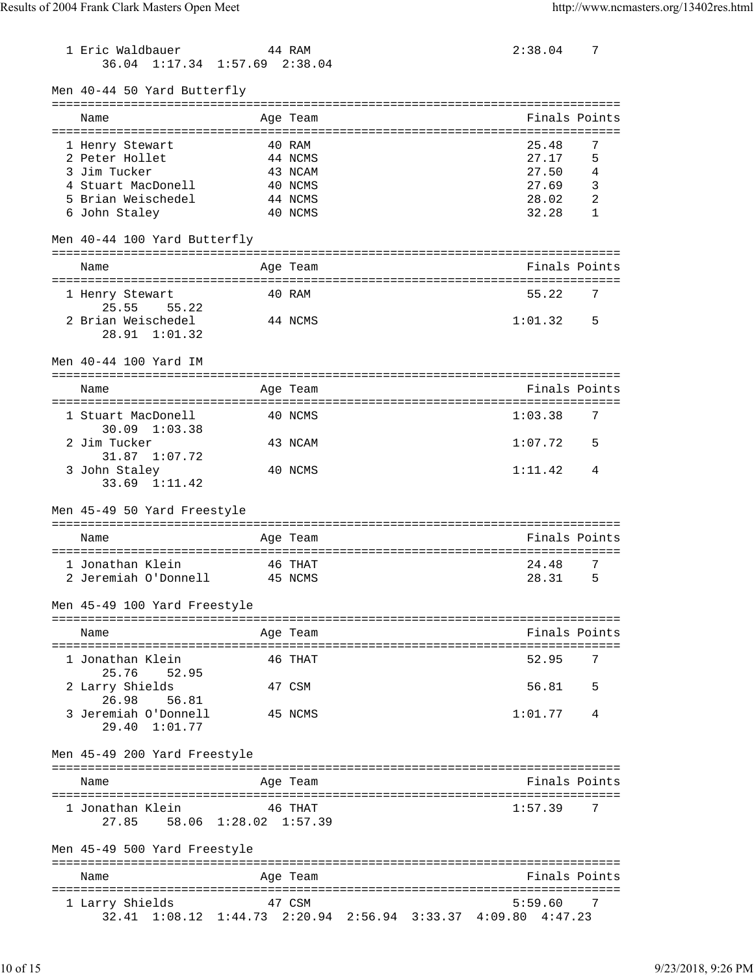1 Eric Waldbauer 44 RAM 2:38.04 7 36.04 1:17.34 1:57.69 2:38.04 Men 40-44 50 Yard Butterfly =============================================================================== Name Age Team Age Team Finals Points =============================================================================== 1 Henry Stewart 40 RAM 25.48<br>2 Peter Hollet 44 NCMS 27.17<br>27.17 2 Peter Hollet 44 NCMS 27.17 5 3 Jim Tucker 43 NCAM 27.50 4 4 Stuart MacDonell 40 NCMS 27.69 3 5 Brian Weischedel 44 NCMS 28.02 2 6 John Staley 40 NCMS 32.28 1 Men 40-44 100 Yard Butterfly =============================================================================== Name **Age Team Age Team** Rinals Points =============================================================================== 1 Henry Stewart 40 RAM 55.22 25.55 55.22 2 Brian Weischedel 44 NCMS 1:01.32 5 28.91 1:01.32 Men 40-44 100 Yard IM =============================================================================== Name Age Team Finals Points =============================================================================== 1 Stuart MacDonell 40 NCMS 1:03.38 7 30.09 1:03.38 2 Jim Tucker 43 NCAM 1:07.72 5 31.87 1:07.72 3 John Staley 40 NCMS 1:11.42 4 33.69 1:11.42 Men 45-49 50 Yard Freestyle =============================================================================== Name **Age Team** Age Team **Finals Points** Points =============================================================================== 1 Jonathan Klein 46 THAT 24.48 7 2 Jeremiah O'Donnell 45 NCMS 28.31 5 Men 45-49 100 Yard Freestyle =============================================================================== Name **Age Team** Age Team **Finals Points** =============================================================================== 1 Jonathan Klein 46 THAT 52.95 7 25.76 52.95 2 Larry Shields 47 CSM 56.81 5 26.98 56.81 3 Jeremiah O'Donnell 45 NCMS 1:01.77 4 29.40 1:01.77 Men 45-49 200 Yard Freestyle =============================================================================== Name Age Team Finals Points =============================================================================== 1 Jonathan Klein 46 THAT 1:57.39 7 27.85 58.06 1:28.02 1:57.39 Men 45-49 500 Yard Freestyle =============================================================================== Name **Age Team** Age Team **Finals Points** =============================================================================== 1 Larry Shields 47 CSM 32.41 1:08.12 1:44.73 2:20.94 2:56.94 3:33.37 4:09.80 4:47.23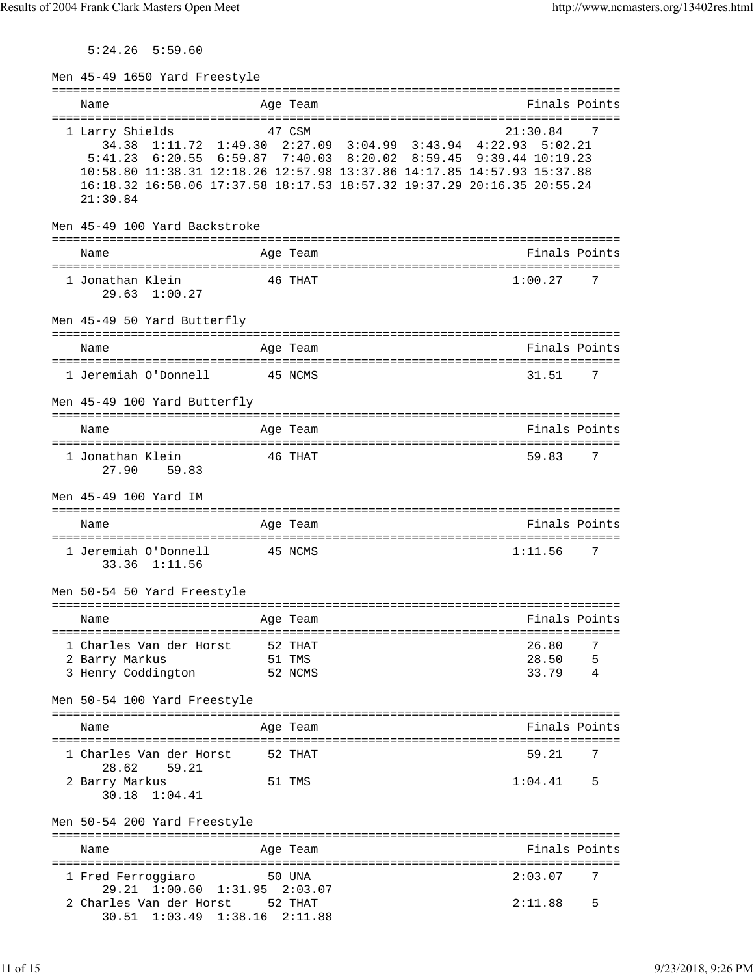5:24.26 5:59.60

| Men 45-49 1650 Yard Freestyle                       |                                                                                                                                                                                                                                                                                                               |        |
|-----------------------------------------------------|---------------------------------------------------------------------------------------------------------------------------------------------------------------------------------------------------------------------------------------------------------------------------------------------------------------|--------|
| Name                                                | Finals Points<br>Age Team                                                                                                                                                                                                                                                                                     |        |
| 1 Larry Shields<br>21:30.84                         | 47 CSM<br>21:30.84<br>34.38 1:11.72 1:49.30 2:27.09 3:04.99 3:43.94 4:22.93 5:02.21<br>5:41.23 6:20.55 6:59.87 7:40.03 8:20.02 8:59.45 9:39.44 10:19.23<br>10:58.80 11:38.31 12:18.26 12:57.98 13:37.86 14:17.85 14:57.93 15:37.88<br>16:18.32 16:58.06 17:37.58 18:17.53 18:57.32 19:37.29 20:16.35 20:55.24 | 7      |
| Men 45-49 100 Yard Backstroke                       | ==========================                                                                                                                                                                                                                                                                                    |        |
| Name                                                | Finals Points<br>Age Team                                                                                                                                                                                                                                                                                     |        |
| 1 Jonathan Klein<br>$29.63 \quad 1:00.27$           | 46 THAT<br>1:00.27                                                                                                                                                                                                                                                                                            | 7      |
| Men 45-49 50 Yard Butterfly                         |                                                                                                                                                                                                                                                                                                               |        |
| Name                                                | Finals Points<br>Age Team                                                                                                                                                                                                                                                                                     |        |
| 1 Jeremiah O'Donnell                                | 45 NCMS<br>31.51                                                                                                                                                                                                                                                                                              | 7      |
| Men 45-49 100 Yard Butterfly                        |                                                                                                                                                                                                                                                                                                               |        |
| Name                                                | Finals Points<br>Age Team<br>:================                                                                                                                                                                                                                                                                |        |
| 1 Jonathan Klein<br>27.90 59.83                     | 46 THAT<br>59.83                                                                                                                                                                                                                                                                                              | 7      |
| Men 45-49 100 Yard IM                               |                                                                                                                                                                                                                                                                                                               |        |
| Name                                                | Finals Points<br>Age Team                                                                                                                                                                                                                                                                                     |        |
| 1 Jeremiah O'Donnell<br>33.36 1:11.56               | 1:11.56<br>45 NCMS                                                                                                                                                                                                                                                                                            | 7      |
| Men 50-54 50 Yard Freestyle                         | ----------------------                                                                                                                                                                                                                                                                                        |        |
| Name                                                | Finals Points<br>Age Team                                                                                                                                                                                                                                                                                     |        |
| 1 Charles Van der Horst                             | 52 THAT<br>26.80                                                                                                                                                                                                                                                                                              | 7      |
| 2 Barry Markus<br>3 Henry Coddington                | 51 TMS<br>28.50<br>33.79<br>52 NCMS                                                                                                                                                                                                                                                                           | 5<br>4 |
| Men 50-54 100 Yard Freestyle                        |                                                                                                                                                                                                                                                                                                               |        |
| Name                                                | Finals Points<br>Age Team                                                                                                                                                                                                                                                                                     |        |
| 1 Charles Van der Horst<br>28.62<br>59.21           | 59.21<br>52 THAT                                                                                                                                                                                                                                                                                              | 7      |
| 2 Barry Markus<br>30.18<br>1:04.41                  | 1:04.41<br>51 TMS                                                                                                                                                                                                                                                                                             | 5      |
| Men 50-54 200 Yard Freestyle                        |                                                                                                                                                                                                                                                                                                               |        |
| Name                                                | Finals Points<br>Age Team                                                                                                                                                                                                                                                                                     |        |
| 1 Fred Ferroggiaro<br>29.21 1:00.60 1:31.95 2:03.07 | 50 UNA<br>2:03.07                                                                                                                                                                                                                                                                                             | 7      |
| 2 Charles Van der Horst<br>$30.51 \quad 1:03.49$    | 52 THAT<br>2:11.88<br>$1:38.16$ $2:11.88$                                                                                                                                                                                                                                                                     | 5      |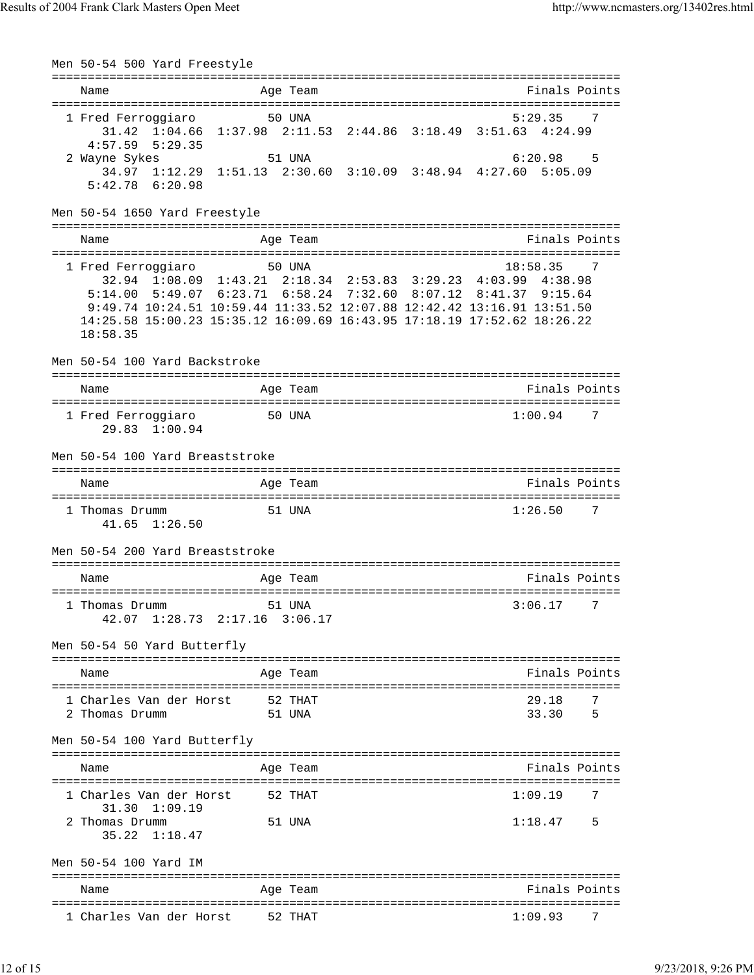Men 50-54 500 Yard Freestyle =============================================================================== Name **Age Team** Age Team **Finals Points** =============================================================================== 1 Fred Ferroggiaro 50 UNA 5:29.35 31.42 1:04.66 1:37.98 2:11.53 2:44.86 3:18.49 3:51.63 4:24.99 4:57.59 5:29.35 2 Wayne Sykes 51 UNA 6:20.98 5 34.97 1:12.29 1:51.13 2:30.60 3:10.09 3:48.94 4:27.60 5:05.09 5:42.78 6:20.98 Men 50-54 1650 Yard Freestyle =============================================================================== Name **Age Team** Age Team Finals Points =============================================================================== 1 Fred Ferroggiaro 50 UNA 18:58.35 7 32.94 1:08.09 1:43.21 2:18.34 2:53.83 3:29.23 4:03.99 4:38.98 5:14.00 5:49.07 6:23.71 6:58.24 7:32.60 8:07.12 8:41.37 9:15.64 9:49.74 10:24.51 10:59.44 11:33.52 12:07.88 12:42.42 13:16.91 13:51.50 14:25.58 15:00.23 15:35.12 16:09.69 16:43.95 17:18.19 17:52.62 18:26.22 18:58.35 Men 50-54 100 Yard Backstroke =============================================================================== Name Age Team Finals Points =============================================================================== 1 Fred Ferroggiaro 50 UNA 1:00.94 29.83 1:00.94 Men 50-54 100 Yard Breaststroke =============================================================================== Name Age Team Finals Points =============================================================================== 1 Thomas Drumm 51 UNA 1:26.50 7 41.65 1:26.50 Men 50-54 200 Yard Breaststroke =============================================================================== Name Age Team Age Team Finals Points =============================================================================== 1 Thomas Drumm 51 UNA 3:06.17 7 42.07 1:28.73 2:17.16 3:06.17 Men 50-54 50 Yard Butterfly =============================================================================== Name **Age Team Age Team** Rinals Points =============================================================================== 1 Charles Van der Horst 52 THAT 29.18 7<br>2 Thomas Drumm 51 UNA 51 S 2 Thomas Drumm Men 50-54 100 Yard Butterfly =============================================================================== Name **Age Team** Age Team **Finals Points** =============================================================================== 1 Charles Van der Horst 52 THAT 1:09.19 31.30 1:09.19 2 Thomas Drumm 51 UNA 1:18.47 5 35.22 1:18.47 Men 50-54 100 Yard IM =============================================================================== Name **Age Team** Age Team Finals Points =============================================================================== 1 Charles Van der Horst 52 THAT 1:09.93 7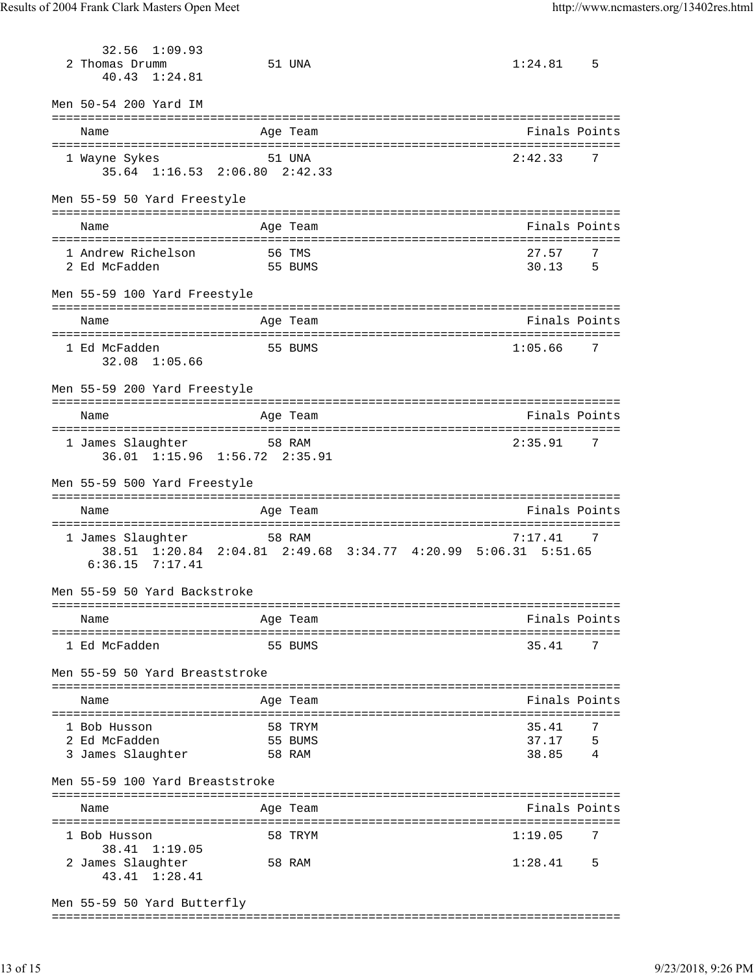32.56 1:09.93 2 Thomas Drumm 51 UNA 1:24.81 5 40.43 1:24.81 Men 50-54 200 Yard IM =============================================================================== Name Age Team Finals Points =============================================================================== 1 Wayne Sykes 51 UNA 2:42.33 7 35.64 1:16.53 2:06.80 2:42.33 Men 55-59 50 Yard Freestyle =============================================================================== Name **Age Team Age Team** Rinals Points =============================================================================== 1 Andrew Richelson 56 TMS 27.57 7 2 Ed McFadden 55 BUMS Men 55-59 100 Yard Freestyle =============================================================================== Name Age Team Age Team Finals Points =============================================================================== 1 Ed McFadden 55 BUMS 1:05.66 7 32.08 1:05.66 Men 55-59 200 Yard Freestyle =============================================================================== Name Age Team Finals Points =============================================================================== 1 James Slaughter 58 RAM 2:35.91 7 36.01 1:15.96 1:56.72 2:35.91 Men 55-59 500 Yard Freestyle =============================================================================== Name **Age Team Age Team** Rinals Points =============================================================================== 1 James Slaughter 58 RAM 38.51 1:20.84 2:04.81 2:49.68 3:34.77 4:20.99 5:06.31 5:51.65 6:36.15 7:17.41 Men 55-59 50 Yard Backstroke =============================================================================== Name Age Team Finals Points =============================================================================== 1 Ed McFadden 55 BUMS 35.41 7 Men 55-59 50 Yard Breaststroke =============================================================================== Name Age Team Finals Points =============================================================================== 1 Bob Husson 58 TRYM 2 Ed McFadden 55 BUMS 3 James Slaughter 58 RAM Men 55-59 100 Yard Breaststroke =============================================================================== Name **Age Team** Age Team Finals Points =============================================================================== 1 Bob Husson 58 TRYM 1:19.05 7 38.41 1:19.05 2 James Slaughter 58 RAM 1:28.41 5 43.41 1:28.41 Men 55-59 50 Yard Butterfly

===============================================================================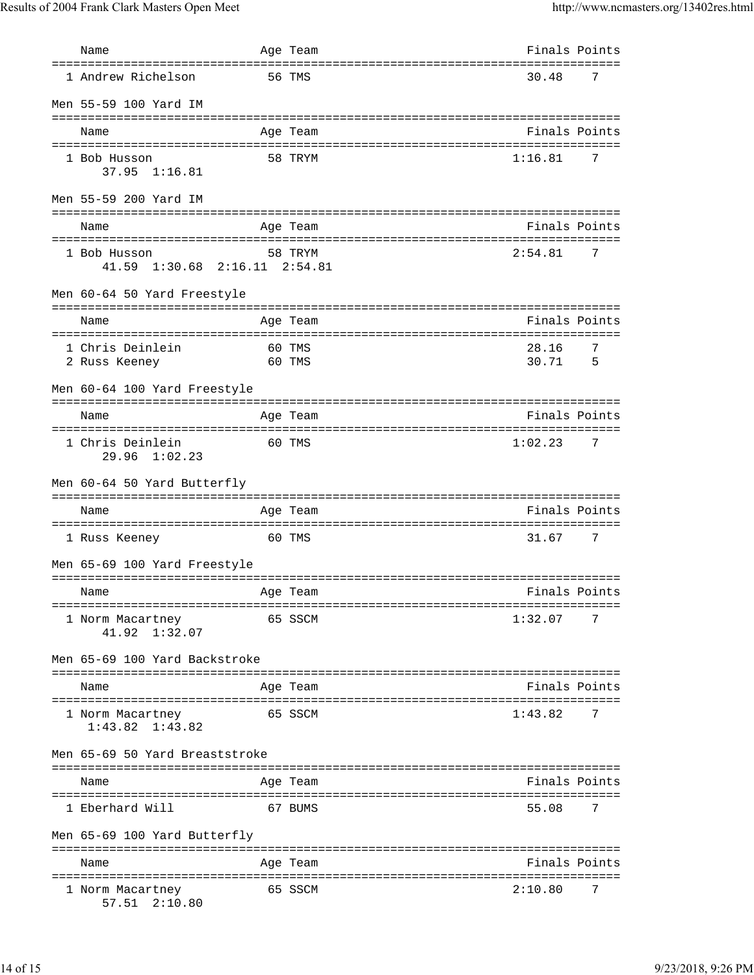| Name                                          | Age Team         | Finals Points                                    |  |
|-----------------------------------------------|------------------|--------------------------------------------------|--|
| 1 Andrew Richelson                            | 56 TMS           | 30.48<br>7                                       |  |
| Men 55-59 100 Yard IM                         |                  |                                                  |  |
| Name                                          | Age Team         | Finals Points                                    |  |
| 1 Bob Husson<br>37.95 1:16.81                 | 58 TRYM          | 1:16.81<br>7                                     |  |
| Men 55-59 200 Yard IM                         |                  |                                                  |  |
| Name                                          | Age Team         | ===============================<br>Finals Points |  |
| 1 Bob Husson<br>41.59 1:30.68 2:16.11 2:54.81 | 58 TRYM          | 2:54.81<br>7                                     |  |
| Men 60-64 50 Yard Freestyle                   |                  |                                                  |  |
| Name                                          | Age Team         | Finals Points                                    |  |
| 1 Chris Deinlein<br>2 Russ Keeney             | 60 TMS<br>60 TMS | 7<br>28.16<br>30.71<br>5                         |  |
| Men 60-64 100 Yard Freestyle                  |                  | ================================                 |  |
| Name                                          | Age Team         | Finals Points                                    |  |
| 1 Chris Deinlein<br>$29.96 \quad 1:02.23$     | 60 TMS           | 1:02.23<br>7                                     |  |
| Men 60-64 50 Yard Butterfly                   |                  |                                                  |  |
| Name                                          | Age Team         | Finals Points                                    |  |
| 1 Russ Keeney                                 | 60 TMS           | 31.67<br>7                                       |  |
| Men 65-69 100 Yard Freestyle                  |                  |                                                  |  |
| Name                                          | Age Team         | Finals Points                                    |  |
| 1 Norm Macartney<br>1:32.07<br>41.92          | 65 SSCM          | 1:32.07<br>7                                     |  |
| Men 65-69 100 Yard Backstroke                 |                  |                                                  |  |
| Name                                          | Age Team         | Finals Points                                    |  |
| 1 Norm Macartney<br>$1:43.82$ $1:43.82$       | 65 SSCM          | 1:43.82<br>7                                     |  |
| Men 65-69 50 Yard Breaststroke                |                  |                                                  |  |
| Name                                          | Age Team         | Finals Points                                    |  |
| ==============<br>1 Eberhard Will             | 67 BUMS          | 55.08<br>7                                       |  |
| Men 65-69 100 Yard Butterfly                  |                  |                                                  |  |
| Name                                          | Age Team         | Finals Points                                    |  |
| 1 Norm Macartney<br>57.51 2:10.80             | 65 SSCM          | 2:10.80<br>7                                     |  |